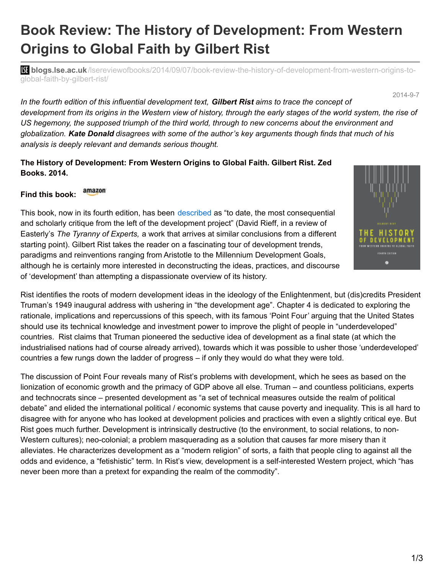## **Book Review: The History of Development: From Western Origins to Global Faith by Gilbert Rist**

**bli blogs.lse.ac.uk**[/lsereviewofbooks/2014/09/07/book-review-the-history-of-development-from-western-origins-to](http://blogs.lse.ac.uk/lsereviewofbooks/2014/09/07/book-review-the-history-of-development-from-western-origins-to-global-faith-by-gilbert-rist/)global-faith-by-gilbert-rist/

2014-9-7

*In the fourth edition of this influential development text, Gilbert Rist aims to trace the concept of* development from its origins in the Western view of history, through the early stages of the world system, the rise of *US hegemony, the supposed triumph of the third world, through to new concerns about the environment and* alobalization. Kate Donald disagrees with some of the author's key arguments though finds that much of his *analysis is deeply relevant and demands serious thought.*

## **The History of Development: From Western Origins to Global Faith. Gilbert Rist. Zed Books. 2014.**

## amazon **Find this book:**

This book, now in its fourth edition, has been [described](http://www.nybooks.com/articles/archives/2014/jun/19/american-passion-tyrants/) as "to date, the most consequential and scholarly critique from the left of the development project" (David Rieff, in a review of Easterly's *The Tyranny of Experts,* a work that arrives at similar conclusions from a different starting point). Gilbert Rist takes the reader on a fascinating tour of development trends, paradigms and reinventions ranging from Aristotle to the Millennium Development Goals, although he is certainly more interested in deconstructing the ideas, practices, and discourse of 'development' than attempting a dispassionate overview of its history.



Rist identifies the roots of modern development ideas in the ideology of the Enlightenment, but (dis)credits President Truman's 1949 inaugural address with ushering in "the development age". Chapter 4 is dedicated to exploring the rationale, implications and repercussions of this speech, with its famous 'Point Four' arguing that the United States should use its technical knowledge and investment power to improve the plight of people in "underdeveloped" countries. Rist claims that Truman pioneered the seductive idea of development as a final state (at which the industrialised nations had of course already arrived), towards which it was possible to usher those 'underdeveloped' countries a few rungs down the ladder of progress – if only they would do what they were told.

The discussion of Point Four reveals many of Rist's problems with development, which he sees as based on the lionization of economic growth and the primacy of GDP above all else. Truman – and countless politicians, experts and technocrats since – presented development as "a set of technical measures outside the realm of political debate" and elided the international political / economic systems that cause poverty and inequality. This is all hard to disagree with for anyone who has looked at development policies and practices with even a slightly critical eye. But Rist goes much further. Development is intrinsically destructive (to the environment, to social relations, to non-Western cultures); neo-colonial; a problem masquerading as a solution that causes far more misery than it alleviates. He characterizes development as a "modern religion" of sorts, a faith that people cling to against all the odds and evidence, a "fetishistic" term. In Rist's view, development is a self-interested Western project, which "has never been more than a pretext for expanding the realm of the commodity".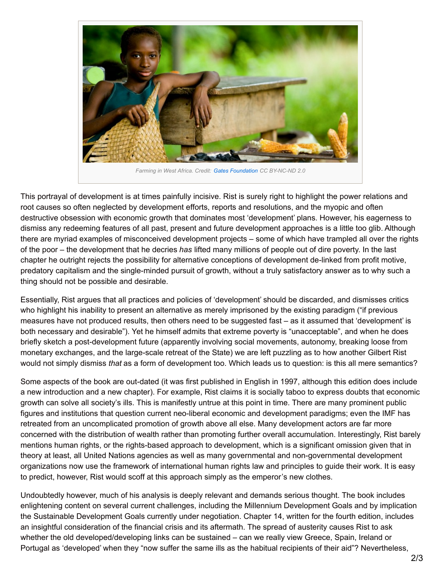

This portrayal of development is at times painfully incisive. Rist is surely right to highlight the power relations and root causes so often neglected by development efforts, reports and resolutions, and the myopic and often destructive obsession with economic growth that dominates most 'development' plans. However, his eagerness to dismiss any redeeming features of all past, present and future development approaches is a little too glib. Although there are myriad examples of misconceived development projects – some of which have trampled all over the rights of the poor – the development that he decries *has* lifted many millions of people out of dire poverty. In the last chapter he outright rejects the possibility for alternative conceptions of development de-linked from profit motive, predatory capitalism and the single-minded pursuit of growth, without a truly satisfactory answer as to why such a thing should not be possible and desirable.

Essentially, Rist argues that all practices and policies of 'development' should be discarded, and dismisses critics who highlight his inability to present an alternative as merely imprisoned by the existing paradigm ("if previous measures have not produced results, then others need to be suggested fast – as it assumed that 'development' is both necessary and desirable"). Yet he himself admits that extreme poverty is "unacceptable", and when he does briefly sketch a post-development future (apparently involving social movements, autonomy, breaking loose from monetary exchanges, and the large-scale retreat of the State) we are left puzzling as to how another Gilbert Rist would not simply dismiss *that* as a form of development too. Which leads us to question: is this all mere semantics?

Some aspects of the book are out-dated (it was first published in English in 1997, although this edition does include a new introduction and a new chapter). For example, Rist claims it is socially taboo to express doubts that economic growth can solve all society's ills. This is manifestly untrue at this point in time. There are many prominent public figures and institutions that question current neo-liberal economic and development paradigms; even the IMF has retreated from an uncomplicated promotion of growth above all else. Many development actors are far more concerned with the distribution of wealth rather than promoting further overall accumulation. Interestingly, Rist barely mentions human rights, or the rights-based approach to development, which is a significant omission given that in theory at least, all United Nations agencies as well as many governmental and non-governmental development organizations now use the framework of international human rights law and principles to guide their work. It is easy to predict, however, Rist would scoff at this approach simply as the emperor's new clothes.

Undoubtedly however, much of his analysis is deeply relevant and demands serious thought. The book includes enlightening content on several current challenges, including the Millennium Development Goals and by implication the Sustainable Development Goals currently under negotiation. Chapter 14, written for the fourth edition, includes an insightful consideration of the financial crisis and its aftermath. The spread of austerity causes Rist to ask whether the old developed/developing links can be sustained – can we really view Greece, Spain, Ireland or Portugal as 'developed' when they "now suffer the same ills as the habitual recipients of their aid"? Nevertheless,